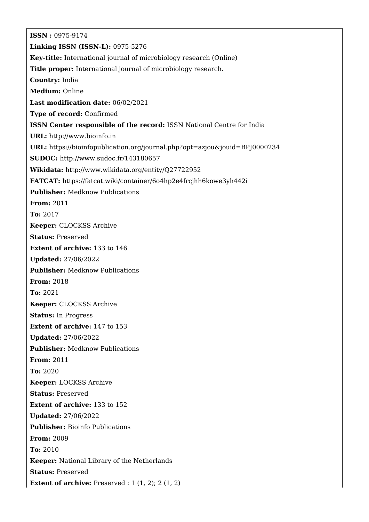**ISSN :** 0975-9174 **Linking ISSN (ISSN-L):** 0975-5276 **Key-title:** International journal of microbiology research (Online) **Title proper:** International journal of microbiology research. **Country:** India **Medium:** Online **Last modification date:** 06/02/2021 **Type of record:** Confirmed **ISSN Center responsible of the record:** ISSN National Centre for India **URL:** <http://www.bioinfo.in> **URL:** <https://bioinfopublication.org/journal.php?opt=azjou&jouid=BPJ0000234> **SUDOC:** <http://www.sudoc.fr/143180657> **Wikidata:** <http://www.wikidata.org/entity/Q27722952> **FATCAT:** <https://fatcat.wiki/container/6o4hp2e4frcjhh6kowe3yh442i> **Publisher:** Medknow Publications **From:** 2011 **To:** 2017 **Keeper:** CLOCKSS Archive **Status:** Preserved **Extent of archive:** 133 to 146 **Updated:** 27/06/2022 **Publisher:** Medknow Publications **From:** 2018 **To:** 2021 **Keeper:** CLOCKSS Archive **Status:** In Progress **Extent of archive:** 147 to 153 **Updated:** 27/06/2022 **Publisher:** Medknow Publications **From:** 2011 **To:** 2020 **Keeper:** LOCKSS Archive **Status:** Preserved **Extent of archive:** 133 to 152 **Updated:** 27/06/2022 **Publisher:** Bioinfo Publications **From:** 2009 **To:** 2010 **Keeper:** National Library of the Netherlands **Status:** Preserved **Extent of archive:** Preserved : 1 (1, 2); 2 (1, 2)